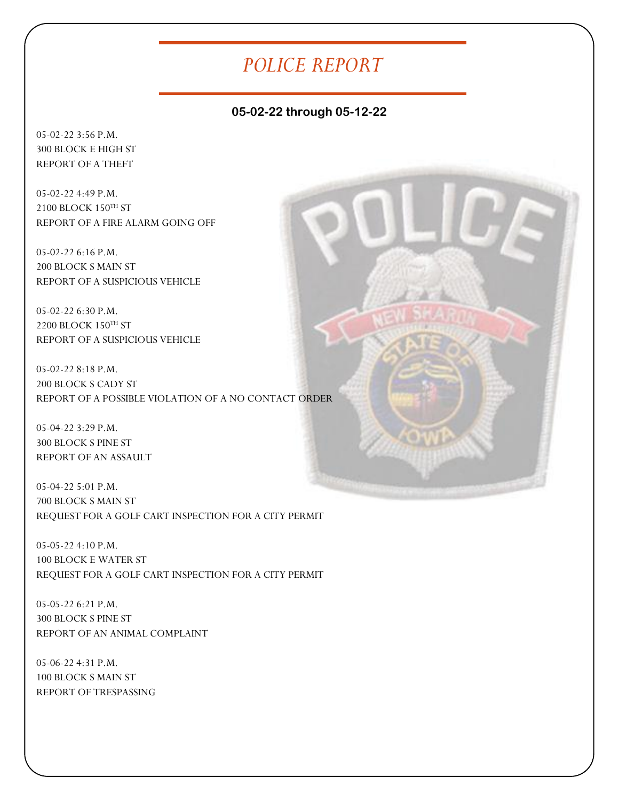### *POLICE REPORT*

#### **05-02-22 through 05-12-22**

05-02-22 3:56 P.M. 300 BLOCK E HIGH ST REPORT OF A THEFT

05-02-22 4:49 P.M. 2100 BLOCK 150TH ST REPORT OF A FIRE ALARM GOING OFF

05-02-22 6:16 P.M. 200 BLOCK S MAIN ST REPORT OF A SUSPICIOUS VEHICLE

05-02-22 6:30 P.M. 2200 BLOCK 150TH ST REPORT OF A SUSPICIOUS VEHICLE

05-02-22 8:18 P.M. 200 BLOCK S CADY ST REPORT OF A POSSIBLE VIOLATION OF A NO CONTACT ORDER

05-04-22 3:29 P.M. 300 BLOCK S PINE ST REPORT OF AN ASSAULT

05-04-22 5:01 P.M. 700 BLOCK S MAIN ST REQUEST FOR A GOLF CART INSPECTION FOR A CITY PERMIT

05-05-22 4:10 P.M. 100 BLOCK E WATER ST REQUEST FOR A GOLF CART INSPECTION FOR A CITY PERMIT

05-05-22 6:21 P.M. 300 BLOCK S PINE ST REPORT OF AN ANIMAL COMPLAINT

05-06-22 4:31 P.M. 100 BLOCK S MAIN ST REPORT OF TRESPASSING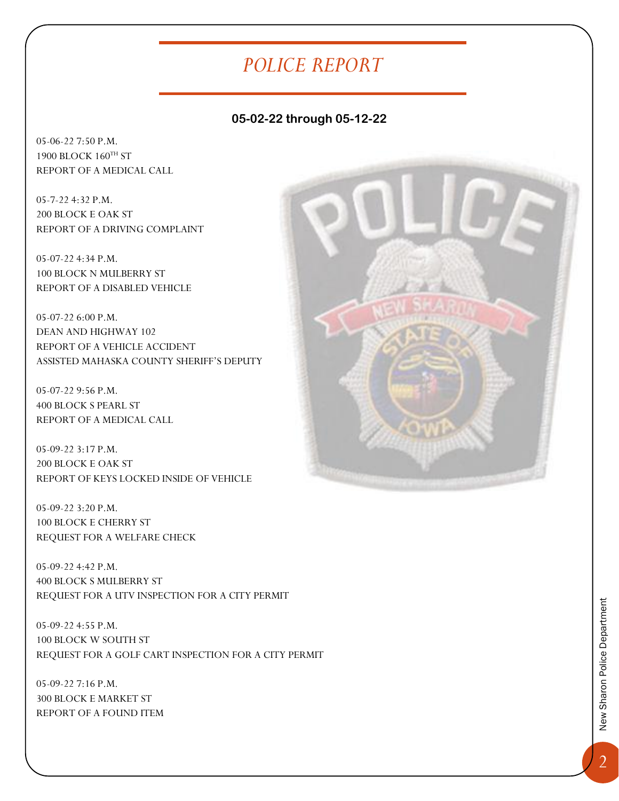# *POLICE REPORT*

### **05-02-22 through 05-12-22**

05-06-22 7:50 P.M. 1900 BLOCK 160TH ST REPORT OF A MEDICAL CALL

05-7-22 4:32 P.M. 200 BLOCK E OAK ST REPORT OF A DRIVING COMPLAINT

05-07-22 4:34 P.M. 100 BLOCK N MULBERRY ST REPORT OF A DISABLED VEHICLE

05-07-22 6:00 P.M. DEAN AND HIGHWAY 102 REPORT OF A VEHICLE ACCIDENT ASSISTED MAHASKA COUNTY SHERIFF'S DEPUTY

05-07-22 9:56 P.M. 400 BLOCK S PEARL ST REPORT OF A MEDICAL CALL

05-09-22 3:17 P.M. 200 BLOCK E OAK ST REPORT OF KEYS LOCKED INSIDE OF VEHICLE

05-09-22 3:20 P.M. 100 BLOCK E CHERRY ST REQUEST FOR A WELFARE CHECK

05-09-22 4:42 P.M. 400 BLOCK S MULBERRY ST REQUEST FOR A UTV INSPECTION FOR A CITY PERMIT

05-09-22 4:55 P.M. 100 BLOCK W SOUTH ST REQUEST FOR A GOLF CART INSPECTION FOR A CITY PERMIT

05-09-22 7:16 P.M. 300 BLOCK E MARKET ST REPORT OF A FOUND ITEM